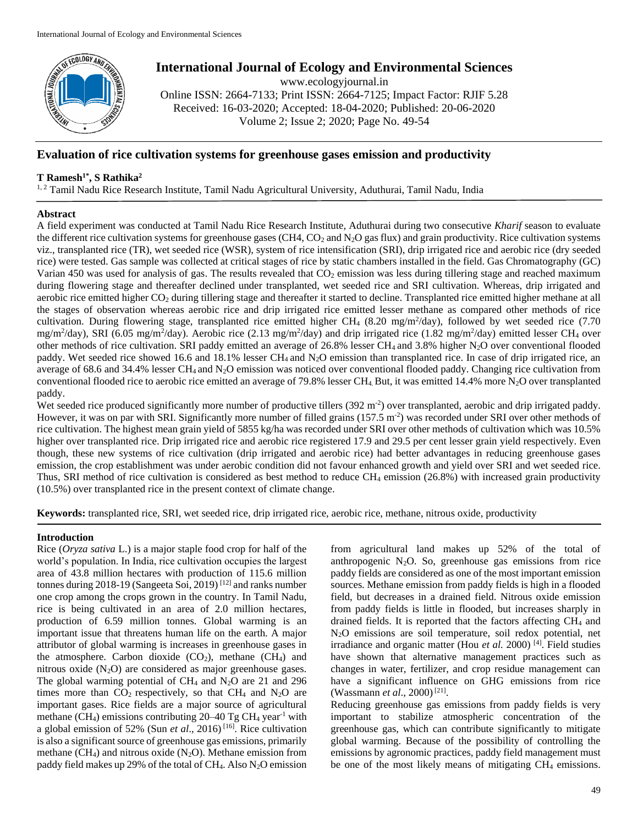

# **International Journal of Ecology and Environmental Sciences**

www.ecologyjournal.in Online ISSN: 2664-7133; Print ISSN: 2664-7125; Impact Factor: RJIF 5.28 Received: 16-03-2020; Accepted: 18-04-2020; Published: 20-06-2020 Volume 2; Issue 2; 2020; Page No. 49-54

# **Evaluation of rice cultivation systems for greenhouse gases emission and productivity**

# **T Ramesh1\* , S Rathika<sup>2</sup>**

<sup>1, 2</sup> Tamil Nadu Rice Research Institute, Tamil Nadu Agricultural University, Aduthurai, Tamil Nadu, India

# **Abstract**

A field experiment was conducted at Tamil Nadu Rice Research Institute, Aduthurai during two consecutive *Kharif* season to evaluate the different rice cultivation systems for greenhouse gases (CH4,  $CO<sub>2</sub>$  and  $N<sub>2</sub>O$  gas flux) and grain productivity. Rice cultivation systems viz., transplanted rice (TR), wet seeded rice (WSR), system of rice intensification (SRI), drip irrigated rice and aerobic rice (dry seeded rice) were tested. Gas sample was collected at critical stages of rice by static chambers installed in the field. Gas Chromatography (GC) Varian 450 was used for analysis of gas. The results revealed that  $CO<sub>2</sub>$  emission was less during tillering stage and reached maximum during flowering stage and thereafter declined under transplanted, wet seeded rice and SRI cultivation. Whereas, drip irrigated and aerobic rice emitted higher CO<sub>2</sub> during tillering stage and thereafter it started to decline. Transplanted rice emitted higher methane at all the stages of observation whereas aerobic rice and drip irrigated rice emitted lesser methane as compared other methods of rice cultivation. During flowering stage, transplanted rice emitted higher CH<sub>4</sub> (8.20 mg/m<sup>2</sup>/day), followed by wet seeded rice (7.70 mg/m<sup>2</sup>/day), SRI (6.05 mg/m<sup>2</sup>/day). Aerobic rice (2.13 mg/m<sup>2</sup>/day) and drip irrigated rice (1.82 mg/m<sup>2</sup>/day) emitted lesser CH<sub>4</sub> over other methods of rice cultivation. SRI paddy emitted an average of 26.8% lesser  $CH_4$  and 3.8% higher N<sub>2</sub>O over conventional flooded paddy. Wet seeded rice showed 16.6 and 18.1% lesser CH<sub>4</sub> and N<sub>2</sub>O emission than transplanted rice. In case of drip irrigated rice, an average of 68.6 and 34.4% lesser CH<sup>4</sup> and N2O emission was noticed over conventional flooded paddy. Changing rice cultivation from conventional flooded rice to aerobic rice emitted an average of 79.8% lesser CH<sub>4</sub>. But, it was emitted 14.4% more  $N_2O$  over transplanted paddy.

Wet seeded rice produced significantly more number of productive tillers  $(392 \text{ m}^2)$  over transplanted, aerobic and drip irrigated paddy. However, it was on par with SRI. Significantly more number of filled grains (157.5 m<sup>-2</sup>) was recorded under SRI over other methods of rice cultivation. The highest mean grain yield of 5855 kg/ha was recorded under SRI over other methods of cultivation which was 10.5% higher over transplanted rice. Drip irrigated rice and aerobic rice registered 17.9 and 29.5 per cent lesser grain yield respectively. Even though, these new systems of rice cultivation (drip irrigated and aerobic rice) had better advantages in reducing greenhouse gases emission, the crop establishment was under aerobic condition did not favour enhanced growth and yield over SRI and wet seeded rice. Thus, SRI method of rice cultivation is considered as best method to reduce CH<sup>4</sup> emission (26.8%) with increased grain productivity (10.5%) over transplanted rice in the present context of climate change.

**Keywords:** transplanted rice, SRI, wet seeded rice, drip irrigated rice, aerobic rice, methane, nitrous oxide, productivity

#### **Introduction**

Rice (*Oryza sativa* L.) is a major staple food crop for half of the world's population. In India, rice cultivation occupies the largest area of 43.8 million hectares with production of 115.6 million tonnes during 2018-19 (Sangeeta Soi, 2019) [12] and ranks number one crop among the crops grown in the country. In Tamil Nadu, rice is being cultivated in an area of 2.0 million hectares, production of 6.59 million tonnes. Global warming is an important issue that threatens human life on the earth. A major attributor of global warming is increases in greenhouse gases in the atmosphere. Carbon dioxide  $(CO_2)$ , methane  $(CH_4)$  and nitrous oxide  $(N_2O)$  are considered as major greenhouse gases. The global warming potential of  $CH_4$  and  $N_2O$  are 21 and 296 times more than  $CO_2$  respectively, so that  $CH_4$  and  $N_2O$  are important gases. Rice fields are a major source of agricultural methane (CH<sub>4</sub>) emissions contributing  $20-40$  Tg CH<sub>4</sub> year<sup>-1</sup> with a global emission of 52% (Sun *et al*., 2016) [16]. Rice cultivation is also a significant source of greenhouse gas emissions, primarily methane (CH<sub>4</sub>) and nitrous oxide (N<sub>2</sub>O). Methane emission from paddy field makes up 29% of the total of  $CH_4$ . Also N<sub>2</sub>O emission

from agricultural land makes up 52% of the total of anthropogenic  $N_2O$ . So, greenhouse gas emissions from rice paddy fields are considered as one of the most important emission sources. Methane emission from paddy fields is high in a flooded field, but decreases in a drained field. Nitrous oxide emission from paddy fields is little in flooded, but increases sharply in drained fields. It is reported that the factors affecting CH<sup>4</sup> and N2O emissions are soil temperature, soil redox potential, net irradiance and organic matter (Hou *et al.* 2000) [4]. Field studies have shown that alternative management practices such as changes in water, fertilizer, and crop residue management can have a significant influence on GHG emissions from rice (Wassmann *et al.*, 2000)<sup>[21]</sup>.

Reducing greenhouse gas emissions from paddy fields is very important to stabilize atmospheric concentration of the greenhouse gas, which can contribute significantly to mitigate global warming. Because of the possibility of controlling the emissions by agronomic practices, paddy field management must be one of the most likely means of mitigating CH<sub>4</sub> emissions.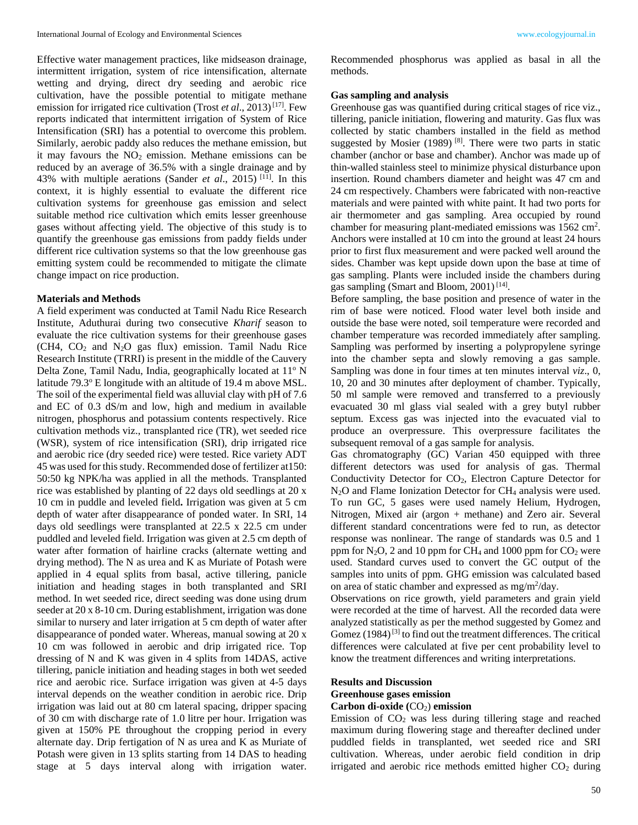Effective water management practices, like midseason drainage, intermittent irrigation, system of rice intensification, alternate wetting and drying, direct dry seeding and aerobic rice cultivation, have the possible potential to mitigate methane emission for irrigated rice cultivation (Trost *et al.*, 2013)<sup>[17]</sup>. Few reports indicated that intermittent irrigation of System of Rice Intensification (SRI) has a potential to overcome this problem. Similarly, aerobic paddy also reduces the methane emission, but it may favours the  $NO<sub>2</sub>$  emission. Methane emissions can be reduced by an average of 36.5% with a single drainage and by 43% with multiple aerations (Sander *et al*., 2015) [11] . In this context, it is highly essential to evaluate the different rice cultivation systems for greenhouse gas emission and select suitable method rice cultivation which emits lesser greenhouse gases without affecting yield. The objective of this study is to quantify the greenhouse gas emissions from paddy fields under different rice cultivation systems so that the low greenhouse gas emitting system could be recommended to mitigate the climate change impact on rice production.

#### **Materials and Methods**

A field experiment was conducted at Tamil Nadu Rice Research Institute, Aduthurai during two consecutive *Kharif* season to evaluate the rice cultivation systems for their greenhouse gases  $(CH4, CO<sub>2</sub>$  and N<sub>2</sub>O gas flux) emission. Tamil Nadu Rice Research Institute (TRRI) is present in the middle of the Cauvery Delta Zone, Tamil Nadu, India, geographically located at 11<sup>o</sup> N latitude 79.3° E longitude with an altitude of 19.4 m above MSL. The soil of the experimental field was alluvial clay with pH of 7.6 and EC of 0.3 dS/m and low, high and medium in available nitrogen, phosphorus and potassium contents respectively. Rice cultivation methods viz., transplanted rice (TR), wet seeded rice (WSR), system of rice intensification (SRI), drip irrigated rice and aerobic rice (dry seeded rice) were tested. Rice variety ADT 45 was used for this study. Recommended dose of fertilizer at150: 50:50 kg NPK/ha was applied in all the methods. Transplanted rice was established by planting of 22 days old seedlings at 20 x 10 cm in puddle and leveled field**.** Irrigation was given at 5 cm depth of water after disappearance of ponded water. In SRI, 14 days old seedlings were transplanted at 22.5 x 22.5 cm under puddled and leveled field. Irrigation was given at 2.5 cm depth of water after formation of hairline cracks (alternate wetting and drying method). The N as urea and K as Muriate of Potash were applied in 4 equal splits from basal, active tillering, panicle initiation and heading stages in both transplanted and SRI method. In wet seeded rice, direct seeding was done using drum seeder at 20 x 8-10 cm. During establishment, irrigation was done similar to nursery and later irrigation at 5 cm depth of water after disappearance of ponded water. Whereas, manual sowing at 20 x 10 cm was followed in aerobic and drip irrigated rice. Top dressing of N and K was given in 4 splits from 14DAS, active tillering, panicle initiation and heading stages in both wet seeded rice and aerobic rice. Surface irrigation was given at 4-5 days interval depends on the weather condition in aerobic rice. Drip irrigation was laid out at 80 cm lateral spacing, dripper spacing of 30 cm with discharge rate of 1.0 litre per hour. Irrigation was given at 150% PE throughout the cropping period in every alternate day. Drip fertigation of N as urea and K as Muriate of Potash were given in 13 splits starting from 14 DAS to heading stage at 5 days interval along with irrigation water.

Recommended phosphorus was applied as basal in all the methods.

#### **Gas sampling and analysis**

Greenhouse gas was quantified during critical stages of rice viz., tillering, panicle initiation, flowering and maturity. Gas flux was collected by static chambers installed in the field as method suggested by Mosier (1989)  $[8]$ . There were two parts in static chamber (anchor or base and chamber). Anchor was made up of thin-walled stainless steel to minimize physical disturbance upon insertion. Round chambers diameter and height was 47 cm and 24 cm respectively. Chambers were fabricated with non-reactive materials and were painted with white paint. It had two ports for air thermometer and gas sampling. Area occupied by round chamber for measuring plant-mediated emissions was 1562 cm<sup>2</sup>. Anchors were installed at 10 cm into the ground at least 24 hours prior to first flux measurement and were packed well around the sides. Chamber was kept upside down upon the base at time of gas sampling. Plants were included inside the chambers during gas sampling (Smart and Bloom, 2001)<sup>[14]</sup>.

Before sampling, the base position and presence of water in the rim of base were noticed. Flood water level both inside and outside the base were noted, soil temperature were recorded and chamber temperature was recorded immediately after sampling. Sampling was performed by inserting a polypropylene syringe into the chamber septa and slowly removing a gas sample. Sampling was done in four times at ten minutes interval *viz*., 0, 10, 20 and 30 minutes after deployment of chamber. Typically, 50 ml sample were removed and transferred to a previously evacuated 30 ml glass vial sealed with a grey butyl rubber septum. Excess gas was injected into the evacuated vial to produce an overpressure. This overpressure facilitates the subsequent removal of a gas sample for analysis.

Gas chromatography (GC) Varian 450 equipped with three different detectors was used for analysis of gas. Thermal Conductivity Detector for  $CO<sub>2</sub>$ , Electron Capture Detector for N<sub>2</sub>O and Flame Ionization Detector for CH<sub>4</sub> analysis were used. To run GC, 5 gases were used namely Helium, Hydrogen, Nitrogen, Mixed air (argon + methane) and Zero air. Several different standard concentrations were fed to run, as detector response was nonlinear. The range of standards was 0.5 and 1 ppm for  $N_2O$ , 2 and 10 ppm for CH<sub>4</sub> and 1000 ppm for CO<sub>2</sub> were used. Standard curves used to convert the GC output of the samples into units of ppm. GHG emission was calculated based on area of static chamber and expressed as mg/m<sup>2</sup>/day.

Observations on rice growth, yield parameters and grain yield were recorded at the time of harvest. All the recorded data were analyzed statistically as per the method suggested by Gomez and Gomez  $(1984)^{[3]}$  to find out the treatment differences. The critical differences were calculated at five per cent probability level to know the treatment differences and writing interpretations.

# **Results and Discussion Greenhouse gases emission**

#### Carbon di-oxide (CO<sub>2</sub>) emission

Emission of  $CO<sub>2</sub>$  was less during tillering stage and reached maximum during flowering stage and thereafter declined under puddled fields in transplanted, wet seeded rice and SRI cultivation. Whereas, under aerobic field condition in drip irrigated and aerobic rice methods emitted higher  $CO<sub>2</sub>$  during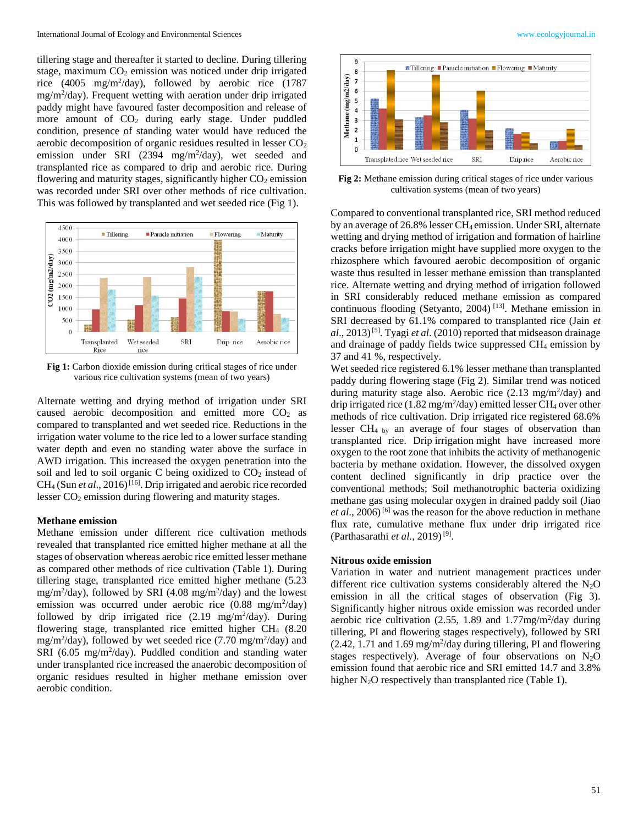tillering stage and thereafter it started to decline. During tillering stage, maximum  $CO<sub>2</sub>$  emission was noticed under drip irrigated rice (4005 mg/m<sup>2</sup> /day), followed by aerobic rice (1787 mg/m<sup>2</sup>/day). Frequent wetting with aeration under drip irrigated paddy might have favoured faster decomposition and release of more amount of  $CO<sub>2</sub>$  during early stage. Under puddled condition, presence of standing water would have reduced the aerobic decomposition of organic residues resulted in lesser  $CO<sub>2</sub>$ emission under SRI (2394 mg/m<sup>2</sup>/day), wet seeded and transplanted rice as compared to drip and aerobic rice. During flowering and maturity stages, significantly higher  $CO<sub>2</sub>$  emission was recorded under SRI over other methods of rice cultivation. This was followed by transplanted and wet seeded rice (Fig 1).



Fig 1: Carbon dioxide emission during critical stages of rice under various rice cultivation systems (mean of two years)

Alternate wetting and drying method of irrigation under SRI caused aerobic decomposition and emitted more  $CO<sub>2</sub>$  as compared to transplanted and wet seeded rice. Reductions in the irrigation water volume to the rice led to a lower surface standing water depth and even no standing water above the surface in AWD irrigation. This increased the oxygen penetration into the soil and led to soil organic C being oxidized to  $CO<sub>2</sub>$  instead of CH<sub>4</sub> (Sun *et al.*, 2016)<sup>[16]</sup>. Drip irrigated and aerobic rice recorded lesser CO<sub>2</sub> emission during flowering and maturity stages.

# **Methane emission**

Methane emission under different rice cultivation methods revealed that transplanted rice emitted higher methane at all the stages of observation whereas aerobic rice emitted lesser methane as compared other methods of rice cultivation (Table 1). During tillering stage, transplanted rice emitted higher methane (5.23 mg/m<sup>2</sup>/day), followed by SRI (4.08 mg/m<sup>2</sup>/day) and the lowest emission was occurred under aerobic rice  $(0.88 \text{ mg/m}^2/\text{day})$ followed by drip irrigated rice  $(2.19 \text{ mg/m}^2/\text{day})$ . During flowering stage, transplanted rice emitted higher CH<sup>4</sup> (8.20 mg/m<sup>2</sup>/day), followed by wet seeded rice (7.70 mg/m<sup>2</sup>/day) and SRI (6.05 mg/m<sup>2</sup>/day). Puddled condition and standing water under transplanted rice increased the anaerobic decomposition of organic residues resulted in higher methane emission over aerobic condition.



**Fig 2:** Methane emission during critical stages of rice under various cultivation systems (mean of two years)

Compared to conventional transplanted rice, SRI method reduced by an average of 26.8% lesser CH4 emission. Under SRI, alternate wetting and drying method of irrigation and formation of hairline cracks before irrigation might have supplied more oxygen to the rhizosphere which favoured aerobic decomposition of organic waste thus resulted in lesser methane emission than transplanted rice. Alternate wetting and drying method of irrigation followed in SRI considerably reduced methane emission as compared continuous flooding (Setyanto, 2004)<sup>[13]</sup>. Methane emission in SRI decreased by 61.1% compared to transplanted rice (Jain *et*   $a$ l., 2013)<sup>[5]</sup>. Tyagi *et al.* (2010) reported that midseason drainage and drainage of paddy fields twice suppressed CH<sub>4</sub> emission by 37 and 41 %, respectively.

Wet seeded rice registered 6.1% lesser methane than transplanted paddy during flowering stage (Fig 2). Similar trend was noticed during maturity stage also. Aerobic rice  $(2.13 \text{ mg/m}^2/\text{day})$  and drip irrigated rice (1.82 mg/m<sup>2</sup>/day) emitted lesser CH<sub>4</sub> over other methods of rice cultivation. Drip irrigated rice registered 68.6% lesser  $CH_{4 \text{ by }}$  an average of four stages of observation than transplanted rice. Drip irrigation might have increased more oxygen to the root zone that inhibits the activity of methanogenic bacteria by methane oxidation. However, the dissolved oxygen content declined significantly in drip practice over the conventional methods; Soil methanotrophic bacteria oxidizing methane gas using molecular oxygen in drained paddy soil (Jiao *et al.*, 2006)<sup>[6]</sup> was the reason for the above reduction in methane flux rate, cumulative methane flux under drip irrigated rice (Parthasarathi et al., 2019)<sup>[9]</sup>.

#### **Nitrous oxide emission**

Variation in water and nutrient management practices under different rice cultivation systems considerably altered the  $N_2O$ emission in all the critical stages of observation (Fig 3). Significantly higher nitrous oxide emission was recorded under aerobic rice cultivation  $(2.55, 1.89 \text{ and } 1.77 \text{mg/m}^2/\text{day during})$ tillering, PI and flowering stages respectively), followed by SRI (2.42, 1.71 and 1.69 mg/m<sup>2</sup> /day during tillering, PI and flowering stages respectively). Average of four observations on  $N_2O$ emission found that aerobic rice and SRI emitted 14.7 and 3.8% higher  $N_2O$  respectively than transplanted rice (Table 1).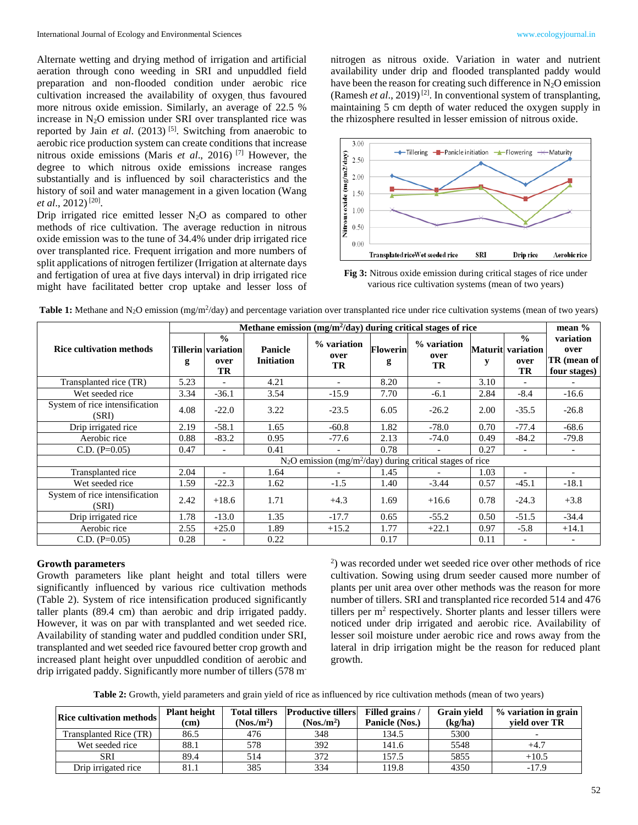Alternate wetting and drying method of irrigation and artificial aeration through cono weeding in SRI and unpuddled field preparation and non-flooded condition under aerobic rice cultivation increased the availability of oxygen, thus favoured more nitrous oxide emission. Similarly, an average of 22.5 % increase in  $N_2O$  emission under SRI over transplanted rice was reported by Jain *et al.* (2013)<sup>[5]</sup>. Switching from anaerobic to aerobic rice production system can create conditions that increase nitrous oxide emissions (Maris *et al*., 2016) [7] However, the degree to which nitrous oxide emissions increase ranges substantially and is influenced by soil characteristics and the history of soil and water management in a given location (Wang *et al.*, 2012)<sup>[20]</sup>.

Drip irrigated rice emitted lesser  $N_2O$  as compared to other methods of rice cultivation. The average reduction in nitrous oxide emission was to the tune of 34.4% under drip irrigated rice over transplanted rice. Frequent irrigation and more numbers of split applications of nitrogen fertilizer (Irrigation at alternate days and fertigation of urea at five days interval) in drip irrigated rice might have facilitated better crop uptake and lesser loss of nitrogen as nitrous oxide. Variation in water and nutrient availability under drip and flooded transplanted paddy would have been the reason for creating such difference in  $N_2O$  emission (Ramesh *et al.*, 2019)<sup>[2]</sup>. In conventional system of transplanting, maintaining 5 cm depth of water reduced the oxygen supply in the rhizosphere resulted in lesser emission of nitrous oxide.



**Fig 3:** Nitrous oxide emission during critical stages of rice under various rice cultivation systems (mean of two years)

|                                         | Methane emission (mg/m <sup>2</sup> /day) during critical stages of rice |                                                          |                                     |                           |               |                           |      |                                                         | mean $%$                                         |
|-----------------------------------------|--------------------------------------------------------------------------|----------------------------------------------------------|-------------------------------------|---------------------------|---------------|---------------------------|------|---------------------------------------------------------|--------------------------------------------------|
| <b>Rice cultivation methods</b>         | g                                                                        | $\frac{0}{0}$<br><b>Tillerin variation</b><br>over<br>TR | <b>Panicle</b><br><b>Initiation</b> | % variation<br>over<br>TR | Flowerin<br>g | % variation<br>over<br>TR | y    | $\frac{0}{0}$<br><b>Maturit</b> variation<br>over<br>TR | variation<br>over<br>TR (mean of<br>four stages) |
| Transplanted rice (TR)                  | 5.23                                                                     |                                                          | 4.21                                | $\overline{\phantom{0}}$  | 8.20          |                           | 3.10 | $\overline{\phantom{0}}$                                |                                                  |
| Wet seeded rice                         | 3.34                                                                     | $-36.1$                                                  | 3.54                                | $-15.9$                   | 7.70          | $-6.1$                    | 2.84 | $-8.4$                                                  | $-16.6$                                          |
| System of rice intensification<br>(SRI) | 4.08                                                                     | $-22.0$                                                  | 3.22                                | $-23.5$                   | 6.05          | $-26.2$                   | 2.00 | $-35.5$                                                 | $-26.8$                                          |
| Drip irrigated rice                     | 2.19                                                                     | $-58.1$                                                  | 1.65                                | $-60.8$                   | 1.82          | $-78.0$                   | 0.70 | $-77.4$                                                 | $-68.6$                                          |
| Aerobic rice                            | 0.88                                                                     | $-83.2$                                                  | 0.95                                | $-77.6$                   | 2.13          | $-74.0$                   | 0.49 | $-84.2$                                                 | $-79.8$                                          |
| $C.D. (P=0.05)$                         | 0.47                                                                     |                                                          | 0.41                                |                           | 0.78          |                           | 0.27 |                                                         |                                                  |
|                                         | $N_2O$ emission (mg/m <sup>2</sup> /day) during critical stages of rice  |                                                          |                                     |                           |               |                           |      |                                                         |                                                  |
| Transplanted rice                       | 2.04                                                                     |                                                          | 1.64                                |                           | 1.45          |                           | 1.03 | $\overline{\phantom{a}}$                                | $\overline{\phantom{a}}$                         |
| Wet seeded rice                         | 1.59                                                                     | $-22.3$                                                  | 1.62                                | $-1.5$                    | 1.40          | $-3.44$                   | 0.57 | $-45.1$                                                 | $-18.1$                                          |
| System of rice intensification<br>(SRI) | 2.42                                                                     | $+18.6$                                                  | 1.71                                | $+4.3$                    | 1.69          | $+16.6$                   | 0.78 | $-24.3$                                                 | $+3.8$                                           |
| Drip irrigated rice                     | 1.78                                                                     | $-13.0$                                                  | 1.35                                | $-17.7$                   | 0.65          | $-55.2$                   | 0.50 | $-51.5$                                                 | $-34.4$                                          |
| Aerobic rice                            | 2.55                                                                     | $+25.0$                                                  | 1.89                                | $+15.2$                   | 1.77          | $+22.1$                   | 0.97 | $-5.8$                                                  | $+14.1$                                          |
| $C.D. (P=0.05)$                         | 0.28                                                                     |                                                          | 0.22                                |                           | 0.17          |                           | 0.11 |                                                         |                                                  |

Table 1: Methane and N<sub>2</sub>O emission (mg/m<sup>2</sup>/day) and percentage variation over transplanted rice under rice cultivation systems (mean of two years)

## **Growth parameters**

Growth parameters like plant height and total tillers were significantly influenced by various rice cultivation methods (Table 2). System of rice intensification produced significantly taller plants (89.4 cm) than aerobic and drip irrigated paddy. However, it was on par with transplanted and wet seeded rice. Availability of standing water and puddled condition under SRI, transplanted and wet seeded rice favoured better crop growth and increased plant height over unpuddled condition of aerobic and drip irrigated paddy. Significantly more number of tillers (578 m-

2 ) was recorded under wet seeded rice over other methods of rice cultivation. Sowing using drum seeder caused more number of plants per unit area over other methods was the reason for more number of tillers. SRI and transplanted rice recorded 514 and 476 tillers per  $m<sup>2</sup>$  respectively. Shorter plants and lesser tillers were noticed under drip irrigated and aerobic rice. Availability of lesser soil moisture under aerobic rice and rows away from the lateral in drip irrigation might be the reason for reduced plant growth.

**Table 2:** Growth, yield parameters and grain yield of rice as influenced by rice cultivation methods (mean of two years)

| <b>Rice cultivation methods</b> | <b>Plant height</b><br>(cm) | <b>Total tillers</b><br>(Nos/m <sup>2</sup> ) | <b>Productive tillers</b><br>(Nos/m <sup>2</sup> ) | Filled grains /<br>Panicle (Nos.) | <b>Grain vield</b><br>(kg/ha) | $\frac{9}{6}$ variation in grain<br>vield over TR |
|---------------------------------|-----------------------------|-----------------------------------------------|----------------------------------------------------|-----------------------------------|-------------------------------|---------------------------------------------------|
| Transplanted Rice (TR)          | 86.5                        | 476                                           | 348                                                | 134.5                             | 5300                          |                                                   |
| Wet seeded rice                 | 88.1                        | 578                                           | 392                                                | 141.6                             | 5548                          | $+4.7$                                            |
| SRI                             | 89.4                        | 514                                           | 372                                                | 157.5                             | 5855                          | $+10.5$                                           |
| Drip irrigated rice             | 81.1                        | 385                                           | 334                                                | 19.8                              | 4350                          | $-17.9$                                           |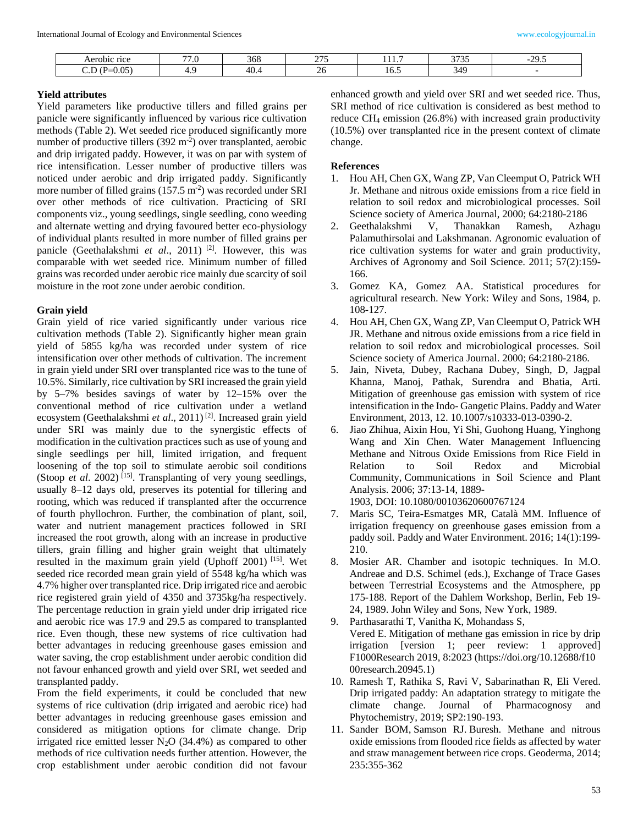| nce<br>Aerobic      | $- -$<br>$\epsilon$<br>. | 368                  | $\sim$ $-$ |      | 2727<br>---- | $\sim$<br>,,<br>. |
|---------------------|--------------------------|----------------------|------------|------|--------------|-------------------|
| .05<br>ັບມ<br>,.v., | г.,                      | $\sim$<br>.<br>гv.-т | ∼          | 16.5 | '46          |                   |

## **Yield attributes**

Yield parameters like productive tillers and filled grains per panicle were significantly influenced by various rice cultivation methods (Table 2). Wet seeded rice produced significantly more number of productive tillers (392 m<sup>-2</sup>) over transplanted, aerobic and drip irrigated paddy. However, it was on par with system of rice intensification. Lesser number of productive tillers was noticed under aerobic and drip irrigated paddy. Significantly more number of filled grains (157.5 m<sup>-2</sup>) was recorded under SRI over other methods of rice cultivation. Practicing of SRI components viz., young seedlings, single seedling, cono weeding and alternate wetting and drying favoured better eco-physiology of individual plants resulted in more number of filled grains per panicle (Geethalakshmi *et al.*, 2011)<sup>[2]</sup>. However, this was comparable with wet seeded rice. Minimum number of filled grains was recorded under aerobic rice mainly due scarcity of soil moisture in the root zone under aerobic condition.

# **Grain yield**

Grain yield of rice varied significantly under various rice cultivation methods (Table 2). Significantly higher mean grain yield of 5855 kg/ha was recorded under system of rice intensification over other methods of cultivation. The increment in grain yield under SRI over transplanted rice was to the tune of 10.5%. Similarly, rice cultivation by SRI increased the grain yield by 5–7% besides savings of water by 12–15% over the conventional method of rice cultivation under a wetland ecosystem (Geethalakshmi *et al*., 2011) [2]. Increased grain yield under SRI was mainly due to the synergistic effects of modification in the cultivation practices such as use of young and single seedlings per hill, limited irrigation, and frequent loosening of the top soil to stimulate aerobic soil conditions (Stoop *et al.* 2002)<sup>[15]</sup>. Transplanting of very young seedlings, usually 8–12 days old, preserves its potential for tillering and rooting, which was reduced if transplanted after the occurrence of fourth phyllochron. Further, the combination of plant, soil, water and nutrient management practices followed in SRI increased the root growth, along with an increase in productive tillers, grain filling and higher grain weight that ultimately resulted in the maximum grain yield (Uphoff 2001) [15]. Wet seeded rice recorded mean grain yield of 5548 kg/ha which was 4.7% higher over transplanted rice. Drip irrigated rice and aerobic rice registered grain yield of 4350 and 3735kg/ha respectively. The percentage reduction in grain yield under drip irrigated rice and aerobic rice was 17.9 and 29.5 as compared to transplanted rice. Even though, these new systems of rice cultivation had better advantages in reducing greenhouse gases emission and water saving, the crop establishment under aerobic condition did not favour enhanced growth and yield over SRI, wet seeded and transplanted paddy.

From the field experiments, it could be concluded that new systems of rice cultivation (drip irrigated and aerobic rice) had better advantages in reducing greenhouse gases emission and considered as mitigation options for climate change. Drip irrigated rice emitted lesser  $N_2O(34.4\%)$  as compared to other methods of rice cultivation needs further attention. However, the crop establishment under aerobic condition did not favour enhanced growth and yield over SRI and wet seeded rice. Thus, SRI method of rice cultivation is considered as best method to reduce  $CH_4$  emission (26.8%) with increased grain productivity (10.5%) over transplanted rice in the present context of climate change.

## **References**

- 1. Hou AH, Chen GX, Wang ZP, Van Cleemput O, Patrick WH Jr. Methane and nitrous oxide emissions from a rice field in relation to soil redox and microbiological processes. Soil Science society of America Journal, 2000; 64:2180-2186
- 2. Geethalakshmi V, Thanakkan Ramesh, Azhagu Palamuthirsolai and Lakshmanan. Agronomic evaluation of rice cultivation systems for water and grain productivity, Archives of Agronomy and Soil Science. 2011; 57(2):159- 166.
- 3. Gomez KA, Gomez AA. Statistical procedures for agricultural research. New York: Wiley and Sons, 1984, p. 108-127.
- 4. Hou AH, Chen GX, Wang ZP, Van Cleemput O, Patrick WH JR. Methane and nitrous oxide emissions from a rice field in relation to soil redox and microbiological processes. Soil Science society of America Journal. 2000; 64:2180-2186.
- 5. Jain, Niveta, Dubey, Rachana Dubey, Singh, D, Jagpal Khanna, Manoj, Pathak, Surendra and Bhatia, Arti. Mitigation of greenhouse gas emission with system of rice intensification in the Indo- Gangetic Plains. Paddy and Water Environment, 2013, 12. 10.1007/s10333-013-0390-2.
- 6. Jiao Zhihua, Aixin Hou, Yi Shi, Guohong Huang, Yinghong Wang and Xin Chen. Water Management Influencing Methane and Nitrous Oxide Emissions from Rice Field in Relation to Soil Redox and Microbial Community, Communications in Soil Science and Plant Analysis. 2006; 37:13-14, 1889-

1903, DOI: 10.1080/00103620600767124

- 7. Maris SC, Teira-Esmatges MR, Català MM. Influence of irrigation frequency on greenhouse gases emission from a paddy soil. Paddy and Water Environment. 2016; 14(1):199- 210.
- 8. Mosier AR. Chamber and isotopic techniques. In M.O. Andreae and D.S. Schimel (eds.), Exchange of Trace Gases between Terrestrial Ecosystems and the Atmosphere, pp 175-188. Report of the Dahlem Workshop, Berlin, Feb 19- 24, 1989. John Wiley and Sons, New York, 1989.
- 9. Parthasarathi T, Vanitha K, Mohandass S, Vered E. Mitigation of methane gas emission in rice by drip irrigation [version 1; peer review: 1 approved] F1000Research 2019, 8:2023 (https://doi.org/10.12688/f10 00research.20945.1)
- 10. Ramesh T, Rathika S, Ravi V, Sabarinathan R, Eli Vered. Drip irrigated paddy: An adaptation strategy to mitigate the climate change. Journal of Pharmacognosy and Phytochemistry, 2019; SP2:190-193.
- 11. Sander BOM, Samson RJ. Buresh. Methane and nitrous oxide emissions from flooded rice fields as affected by water and straw management between rice crops. Geoderma, 2014; 235:355-362